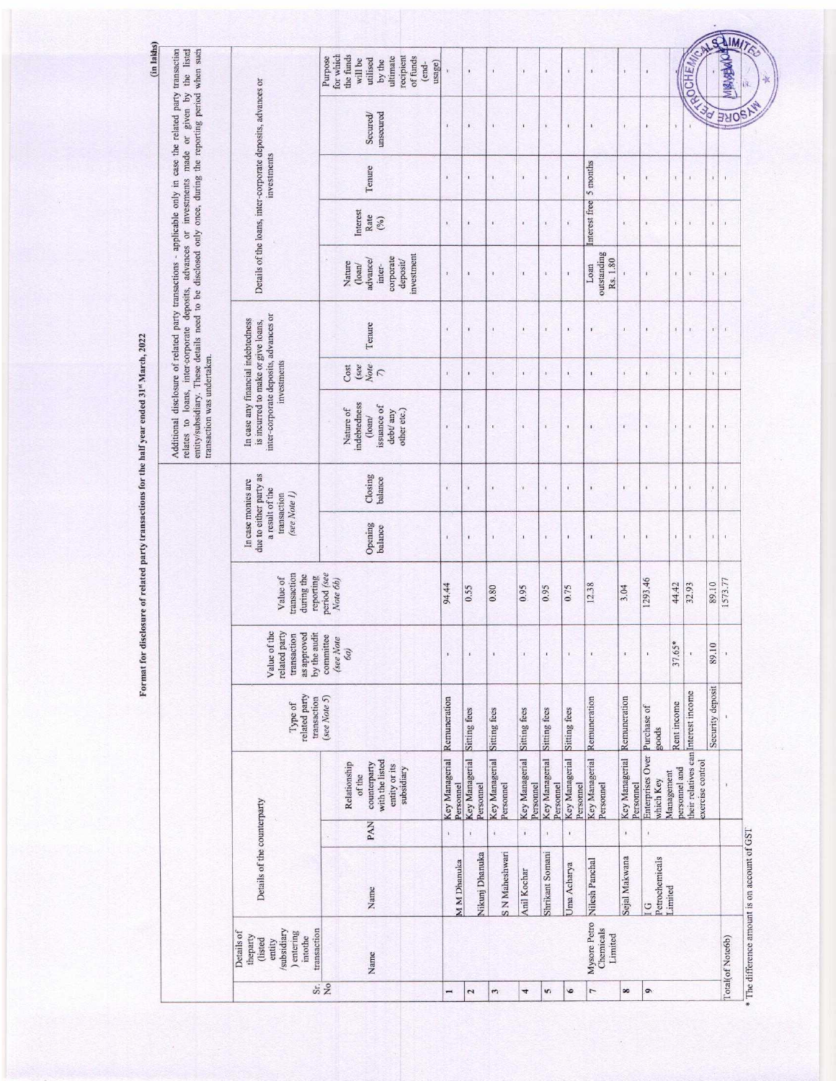Format for disclosure of related party transactions for the half year ended 31st March, 2022 Format for disclosure of related party transactions for the half year ended 31% March, 2022

| the listed                                                                                                                                                                          |                                                                                                                   | for which<br>Purpose | the funds<br>will be                                                                                    | ultimate<br>utilised<br>by the                   | recipient<br>of funds<br>usage)<br>(end- | ì                           | $\mathbf i$                 | ï                                    | $\mathbf{I}$                | ï                           | ï                           | í                                  | x                           | ï                                            |                             |                                                         |                  |                    | <b>ALLEY AVERENT CONTROL</b><br>$\mathbb K$  |
|-------------------------------------------------------------------------------------------------------------------------------------------------------------------------------------|-------------------------------------------------------------------------------------------------------------------|----------------------|---------------------------------------------------------------------------------------------------------|--------------------------------------------------|------------------------------------------|-----------------------------|-----------------------------|--------------------------------------|-----------------------------|-----------------------------|-----------------------------|------------------------------------|-----------------------------|----------------------------------------------|-----------------------------|---------------------------------------------------------|------------------|--------------------|----------------------------------------------|
|                                                                                                                                                                                     | Details of the loans, inter-corporate deposits, advances or                                                       |                      |                                                                                                         | Secured/<br>unsecured                            |                                          | $\mathbf{r}$                | $\blacksquare$              | ¥.                                   | $\mathfrak{r}$              | $\mathbf{I}$                | $\hat{\textbf{t}}$          | $\mathbf{r}$                       | ï                           | $\boldsymbol{t}$                             | $\mathfrak{g}$              |                                                         |                  | SORE               |                                              |
|                                                                                                                                                                                     | investments                                                                                                       |                      |                                                                                                         | Tenure                                           |                                          | $\mathbf{I}$                | $\mathbf{1}$                | $\mathbf{r}$                         | ¥                           | ¥                           | $\mathbf i$                 | 5 months                           | ř                           | T.                                           | $\bar{\mathbf{t}}$          | ï                                                       | $\mathbf{1}$     | ¥.                 |                                              |
| entity/subsidiary. These details need to be disclosed only once, during the reporting period when such<br>loans, inter-corporate deposits, advances or investments made or given by |                                                                                                                   |                      | Interest<br>Rate                                                                                        | $\binom{0}{\ell}$                                |                                          | $\mathbf{1}$                | $\mathbf{I}$                | $\mathbf{r}$                         | $\pmb{\iota}$               | $\mathbf{r}$                | $\mathbf{1}$                | nterest free                       | $\mathbf{1}$                | $\mathbf{1}$                                 | ī.                          | $\mathbf{I}$                                            | $\mathbf{1}$     | $\,$ i             |                                              |
|                                                                                                                                                                                     |                                                                                                                   |                      | Nature<br>$($ loan $/$                                                                                  | corporate<br>advance/<br>inter-                  | investment<br>deposit/                   | $\mathbf{r}$                | ă                           | $\mathbf{r}$                         | $\mathbf{I}$                | ¥                           |                             | outstanding<br>Rs. 1.80<br>Loan    | $\mathbf{r}$                | $\mathbf{r}$                                 | ¥,                          | $\mathbf{t}$                                            | $\mathbf{1}$     | $\bf i$            |                                              |
|                                                                                                                                                                                     |                                                                                                                   |                      |                                                                                                         | Tenure                                           |                                          | $\mathfrak{i}$              | ä,                          | $\mathbf{I}$                         | $\,$                        | x                           | $\hat{\textbf{L}}$          | $\mathbf{1}$                       | $\vec{x}$                   |                                              | Ĵ.                          | $\mathfrak{r}$                                          | $\mathbf{t}$     | $\boldsymbol{\nu}$ |                                              |
|                                                                                                                                                                                     | investments                                                                                                       |                      | $\begin{array}{l} \text{Cost} \\ \text{See} \\ \text{Note} \\ \begin{array}{l} \end{array} \end{array}$ |                                                  |                                          | $\mathbf{r}$                | $\mathbf{I}$                | $\mathbf{I}$                         | $\mathbf{1}$                | $\mathbf{1}$                | Ŷ.                          | $\mathbf{I}$                       | $\mathbf{r}$                | $\mathbf{r}$                                 | $\mathbf{I}$                | ¥,                                                      | $\mathbf{r}$     | $\mathfrak{t}$     |                                              |
| transaction was undertaken.<br>relates to                                                                                                                                           | inter-corporate deposits, advances or<br>In case any financial indebtedness<br>is incurred to make or give loans, |                      | indebtedness<br>Nature of                                                                               | issuance of<br>debt/ any<br>$($ loan $/$         | other etc.)                              | ï                           | $\mathbf{I}$                | ¥                                    | x                           | $\bf{1}$                    |                             | ¥                                  | $\mathbf{I}$                | ×                                            | ī.                          | t.                                                      |                  | T,                 |                                              |
|                                                                                                                                                                                     |                                                                                                                   |                      |                                                                                                         | Closing<br>balance                               |                                          | $\mathbf{r}$                | $\mathbf{I}$                | $\mathbf{r}$                         | ï                           | ï                           | $\mathbf{r}$                | $\mathbf{I}$                       | $\mathbf{r}$                | $\mathbf{r}$                                 | $\mathbf{r}$                | ï.                                                      | $\,$             | Ť.                 |                                              |
|                                                                                                                                                                                     | due to either party as<br>In case monies are<br>a result of the<br>(see Note 1)<br>transaction                    |                      |                                                                                                         | Opening<br>balance                               |                                          | $\mathbf{r}$                | $\mathbf{I}$                | $\mathbf{r}$                         | $\mathbf{I}$                | ¥                           | $\mathbf{1}$                | $\mathbf{I}$                       | $\mathbf{1}$                | $\mathbf{I}$<br>$\mathbf{1}$<br>$\mathbf{I}$ |                             | $\mathbf{I}$                                            | $\mathbf{r}$     |                    |                                              |
|                                                                                                                                                                                     | period (see<br>transaction<br>during the<br>reporting<br>Value of<br>Note 6b)                                     |                      |                                                                                                         |                                                  | 94.44                                    | 0.55                        | 0.80                        | 0.95                                 | 0.95                        | 0.75                        | 12.38                       | 3.04                               | 1293.46                     | 44.42                                        | 32.93                       | 89.10                                                   | 1573.77          |                    |                                              |
|                                                                                                                                                                                     | Value of the<br>related party<br>as approved<br>by the audit<br>transaction<br>committee<br>(see Note<br>6a)      |                      |                                                                                                         | x                                                |                                          | ï                           | ı                           | ı                                    | ï                           | x                           | $\mathbf{I}$                | r.                                 | 37.65                       | $\mathfrak{r}$                               | 89.10                       |                                                         |                  |                    |                                              |
|                                                                                                                                                                                     | related party<br>(see None 5)<br>transaction<br>Type of                                                           |                      |                                                                                                         |                                                  |                                          | Remuneration                | Sitting fees                | Sitting fees                         | Sitting fees                | Sitting fees                | Sitting fees                | Remuneration                       | Remuneration                | Purchase of<br>goods                         | Rent income                 |                                                         | Security deposit |                    |                                              |
|                                                                                                                                                                                     |                                                                                                                   |                      | Relationship<br>of the                                                                                  | with the listed<br>counterparty<br>entity or its | subsidiary                               | Key Managerial<br>Personnel | Key Managerial<br>Personnel | Key Managerial<br>Personnel          | Key Managerial<br>Personnel | Key Managerial<br>Personnel | Key Managerial<br>Personnel | <b>Key Managerial</b><br>Personnel | Key Managerial<br>Personnel | Enterprises Over<br>which Key                | personnel and<br>Management | their relatives can Interest income<br>exercise control |                  | ï                  |                                              |
|                                                                                                                                                                                     |                                                                                                                   |                      |                                                                                                         | PAN                                              |                                          | ×                           | $\mathbf{r}$                | $\mathbf{I}_1$                       | $\Gamma$                    | x                           | $\mathbf{1}$                |                                    | $\mathbf{I}$                |                                              |                             |                                                         |                  |                    |                                              |
|                                                                                                                                                                                     | Details of the counterparty                                                                                       |                      |                                                                                                         | Name                                             |                                          | M M Dhanuka                 | Nikunj Dhanuka              | S N Maheshwari                       | Anil Kochar                 | Shrikant Somani             | Jma Acharya                 | Nilesh Panchal                     | Sejal Makwana               | Petrochemicals<br>U                          | Limited                     |                                                         |                  |                    | * The difference amount is on account of GST |
|                                                                                                                                                                                     | transaction<br>subsidiary<br>entering<br>Details of<br>theparty<br>intothe<br>(listed<br>entity                   |                      |                                                                                                         | Name                                             |                                          |                             |                             | Mysore Petro<br>Chemicals<br>Limited |                             |                             |                             |                                    |                             |                                              |                             | Total(of Note6b)                                        |                  |                    |                                              |
|                                                                                                                                                                                     | Si <sub>2</sub>                                                                                                   |                      |                                                                                                         |                                                  |                                          | $\overline{ }$              | $\overline{2}$              | 3                                    | 4                           | 5                           | 6                           | $\overline{1}$                     | $\infty$                    | $\bullet$                                    |                             |                                                         |                  |                    |                                              |

(in lakhs)